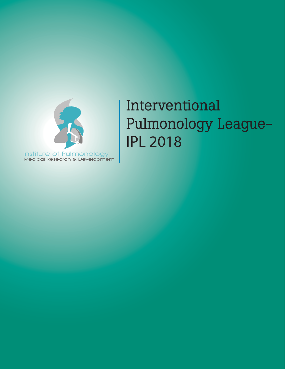

# Interventional Pulmonology League-<br>IPL 2018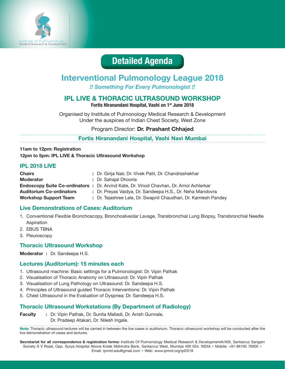

# **Detailed Agenda**

# **Interventional Pulmonology League 2018**

*!! Something For Every Pulmonologist !!*

# **IPL LIVE & THORACIC ULTRASOUND WORKSHOP**

**Fortis Hiranandani Hospital, Vashi on 1st June 2018** 

Organised by Institute of Pulmonology Medical Research & Development Under the auspices of Indian Chest Society, West Zone

#### Program Director: **Dr. Prashant Chhajed**

**Fortis Hiranandani Hospital, Vashi Navi Mumbai**

**11am to 12pm: Registration 12pm to 5pm: IPL LIVE & Thoracic Ultrasound Workshop**

#### **IPL 2018 LIVE**

| <b>Chairs</b>                   | : Dr. Girija Nair, Dr. Vivek Patil, Dr. Chandrashekhar                                        |
|---------------------------------|-----------------------------------------------------------------------------------------------|
| <b>Moderator</b>                | : Dr. Sahajal Dhooria                                                                         |
|                                 | <b>Endoscopy Suite Co-ordinators :</b> Dr. Arvind Kate, Dr. Vinod Chavhan, Dr. Amol Achlerkar |
| <b>Auditorium Co-ordinators</b> | : Dr. Preyas Vaidya, Dr. Sandeepa H.S., Dr. Neha Mandovra                                     |
| <b>Workshop Support Team</b>    | : Dr. Tejashree Lele, Dr. Swapnil Chaudhari, Dr. Kamlesh Pandey                               |

#### **Live Demonstrations of Cases: Auditorium**

- 1. Conventional Flexible Bronchoscopy, Bronchoalveolar Lavage, Transbronchial Lung Biopsy, Transbronchial Needle Aspiration
- 2. EBUS TBNA
- 3. Pleuroscopy

#### **Thoracic Ultrasound Workshop**

#### **Moderator :** Dr. Sandeepa H.S.

#### **Lectures (Auditorium): 15 minutes each**

- 1. Ultrasound machine: Basic settings for a Pulmonologist: Dr. Vipin Pathak
- 2. Visualisation of Thoracic Anatomy on Ultrasound: Dr. Vipin Pathak
- 3. Visualisation of Lung Pathology on Ultrasound: Dr. Sandeepa H.S.
- 4. Principles of Ultrasound guided Thoracic Interventions: Dr. Vipin Pathak
- 5. Chest Ultrasound in the Evaluation of Dyspnea: Dr. Sandeepa H.S.

#### **Thoracic Ultrasound Workstations (By Department of Radiology)**

**Faculty :** Dr. Vipin Pathak, Dr. Sunita Malladi, Dr. Anish Gunnale, Dr. Pradeep Atakari, Dr. Nilesh Ingale.

**Note:** Thoracic ultrasound lectures will be carried in between the live cases in auditorium. Thoracic ultrasound workshop will be conducted after the live demonstration of cases and lectures.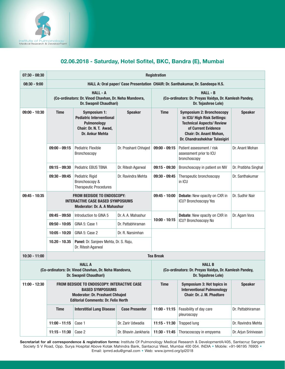

# 02.06.2018 - Saturday, Hotel Sofitel, BKC, Bandra (E), Mumbai

| $07:30 - 08:30$ | <b>Registration</b>                                                                                                                                            |                                                                                                                                                    |                       |                                                                                                  |                                                                                                                                                                                               |                      |  |  |  |
|-----------------|----------------------------------------------------------------------------------------------------------------------------------------------------------------|----------------------------------------------------------------------------------------------------------------------------------------------------|-----------------------|--------------------------------------------------------------------------------------------------|-----------------------------------------------------------------------------------------------------------------------------------------------------------------------------------------------|----------------------|--|--|--|
| $08:30 - 9:00$  | HALL A: Oral paper/ Case Presentation CHAIR: Dr. Santhakumar, Dr. Sandeepa H.S.                                                                                |                                                                                                                                                    |                       |                                                                                                  |                                                                                                                                                                                               |                      |  |  |  |
|                 |                                                                                                                                                                | <b>HALL - A</b><br>(Co-ordinators: Dr. Vinod Chavhan, Dr. Neha Mandovra,<br>Dr. Swapnil Chaudhari)                                                 |                       | <b>HALL - B</b><br>(Co-ordinators: Dr. Preyas Vaidya, Dr. Kamlesh Pandey,<br>Dr. Tejashree Lele) |                                                                                                                                                                                               |                      |  |  |  |
| $09:00 - 10:30$ | <b>Time</b>                                                                                                                                                    | <b>Speaker</b><br><b>Symposium 1:</b><br><b>Pediatric Interventional</b><br><b>Pulmonology</b><br>Chair: Dr. N. T. Awad,<br><b>Dr. Ankur Mehta</b> |                       | <b>Time</b>                                                                                      | <b>Symposium 2: Bronchoscopy</b><br>in ICU/ High Risk Settings:<br><b>Technical Aspects/ Review</b><br>of Current Evidence<br><b>Chair: Dr. Anant Mohan,</b><br>Dr. Chandrashekhar Tulasigiri | <b>Speaker</b>       |  |  |  |
|                 | $09:00 - 09:15$                                                                                                                                                | <b>Pediatric Flexible</b><br>Bronchoscopy                                                                                                          | Dr. Prashant Chhajed  | $09:00 - 09:15$                                                                                  | Patient assessment / risk<br>assessment prior to ICU<br>bronchoscopy                                                                                                                          | Dr. Anant Mohan      |  |  |  |
|                 | $09:15 - 09:30$                                                                                                                                                | Pediatric EBUS TBNA                                                                                                                                | Dr. Ritesh Agarwal    | $09:15 - 09:30$                                                                                  | Bronchoscopy in patient on NIV                                                                                                                                                                | Dr. Pratibha Singhal |  |  |  |
|                 | $09:30 - 09:45$                                                                                                                                                | <b>Pediatric Rigid</b><br>Bronchoscopy &<br><b>Therapeutic Procedures</b>                                                                          | Dr. Ravindra Mehta    | 09:30 - 09:45<br>Therapeutic bronchoscopy<br>in ICU                                              |                                                                                                                                                                                               | Dr. Santhakumar      |  |  |  |
| $09:45 - 10:35$ | <b>FROM BEDSIDE TO ENDOSCOPY:</b><br><b>INTERACTIVE CASE BASED SYMPOSIUMS</b><br><b>Moderator: Dr. A. A Mahashur</b>                                           |                                                                                                                                                    |                       | 09:45 - 10:00                                                                                    | Debate: New opacity on CXR in<br>ICU? Bronchoscopy Yes                                                                                                                                        | Dr. Sudhir Nair      |  |  |  |
|                 | $09:45 - 09:50$                                                                                                                                                | Introduction to GINA 5                                                                                                                             | Dr. A. A. Mahashur    | $10:00 - 10:15$                                                                                  | Debate: New opacity on CXR in                                                                                                                                                                 | Dr. Agam Vora        |  |  |  |
|                 | $09:50 - 10:05$                                                                                                                                                | GINA 5: Case 1                                                                                                                                     | Dr. Pattabhiraman     |                                                                                                  | ICU? Bronchoscopy No                                                                                                                                                                          |                      |  |  |  |
|                 | $10:05 - 10:20$                                                                                                                                                | GINA 5: Case 2                                                                                                                                     | Dr. R. Narsimhan      |                                                                                                  |                                                                                                                                                                                               |                      |  |  |  |
|                 | $10.20 - 10.35$                                                                                                                                                | Panel: Dr. Sanjeev Mehta, Dr. S. Raju,<br>Dr. Ritesh Agarwal                                                                                       |                       |                                                                                                  |                                                                                                                                                                                               |                      |  |  |  |
| $10:30 - 11:00$ |                                                                                                                                                                |                                                                                                                                                    |                       | <b>Tea Break</b>                                                                                 |                                                                                                                                                                                               |                      |  |  |  |
|                 |                                                                                                                                                                | <b>HALL A</b><br>(Co-ordinators: Dr. Vinod Chavhan, Dr. Neha Mandovra,<br>Dr. Swapnil Chaudhari)                                                   |                       | <b>HALL B</b><br>(Co-ordinators: Dr. Preyas Vaidya, Dr. Kamlesh Pandey,<br>Dr. Tejashree Lele)   |                                                                                                                                                                                               |                      |  |  |  |
| $11:00 - 12:30$ | FROM BEDSIDE TO ENDOSCOPY: INTERACTIVE CASE<br><b>BASED SYMPOSIUMS</b><br><b>Moderator: Dr. Prashant Chhajed</b><br><b>Editorial Comments: Dr. Felix Herth</b> |                                                                                                                                                    |                       | <b>Time</b>                                                                                      | Symposium 3: Hot topics in<br><b>Interventional Pulmonology</b><br>Chair: Dr. J. M. Phadtare                                                                                                  | <b>Speaker</b>       |  |  |  |
|                 | <b>Time</b><br><b>Interstitial Lung Disease</b>                                                                                                                |                                                                                                                                                    | <b>Case Presenter</b> | $11:00 - 11:15$                                                                                  | Feasibility of day care<br>pleuroscopy                                                                                                                                                        | Dr. Pattabhiraman    |  |  |  |
|                 | $11:00 - 11:15$                                                                                                                                                | Case 1                                                                                                                                             | Dr. Zarir Udwadia     | $11:15 - 11:30$                                                                                  | <b>Trapped lung</b>                                                                                                                                                                           | Dr. Ravindra Mehta   |  |  |  |
|                 | $11:15 - 11:30$<br>Case 2<br>Dr. Bhavin Jankharia                                                                                                              |                                                                                                                                                    | 11:30 - 11:45         | Thoracoscopy in empyema                                                                          | Dr. Arjun Srinivasan                                                                                                                                                                          |                      |  |  |  |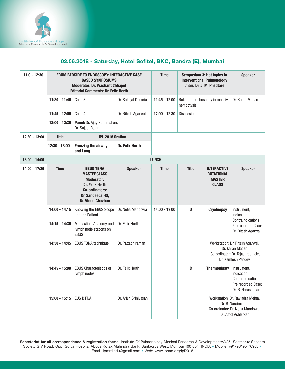

## 02.06.2018 - Saturday, Hotel Sofitel, BKC, Bandra (E), Mumbai

| $11:0 - 12:30$  |                 | <b>FROM BEDSIDE TO ENDOSCOPY: INTERACTIVE CASE</b><br><b>BASED SYMPOSIUMS</b><br><b>Moderator: Dr. Prashant Chhajed</b><br><b>Editorial Comments: Dr. Felix Herth</b> | <b>Time</b>          | Symposium 3: Hot topics in<br><b>Interventional Pulmonology</b><br>Chair: Dr. J. M. Phadtare |              | <b>Speaker</b>                                                           |                                                                                                                 |                                                                                                                |
|-----------------|-----------------|-----------------------------------------------------------------------------------------------------------------------------------------------------------------------|----------------------|----------------------------------------------------------------------------------------------|--------------|--------------------------------------------------------------------------|-----------------------------------------------------------------------------------------------------------------|----------------------------------------------------------------------------------------------------------------|
|                 | $11:30 - 11:45$ | Case 3                                                                                                                                                                | Dr. Sahajal Dhooria  | Role of bronchoscopy in massive<br>11:45 - 12:00<br>hemoptysis                               |              |                                                                          | Dr. Karan Madan                                                                                                 |                                                                                                                |
|                 | $11:45 - 12:00$ | Case 4                                                                                                                                                                | Dr. Ritesh Agarwal   | $12:00 - 12:30$                                                                              | Discussion   |                                                                          |                                                                                                                 |                                                                                                                |
|                 | $12:00 - 12:30$ | Panel: Dr. Ajay Narsimahan,<br>Dr. Sujeet Rajan                                                                                                                       |                      |                                                                                              |              |                                                                          |                                                                                                                 |                                                                                                                |
| $12:30 - 13:00$ | <b>Title</b>    | <b>IPL 2018 Oration</b>                                                                                                                                               |                      |                                                                                              |              |                                                                          |                                                                                                                 |                                                                                                                |
|                 | 12:30 - 13:00   | Freezing the airway<br>and Lung                                                                                                                                       | Dr. Felix Herth      |                                                                                              |              |                                                                          |                                                                                                                 |                                                                                                                |
| 13:00 - 14:00   |                 |                                                                                                                                                                       |                      | <b>LUNCH</b>                                                                                 |              |                                                                          |                                                                                                                 |                                                                                                                |
| 14:00 - 17:30   | <b>Time</b>     | <b>EBUS TBNA</b><br><b>MASTERCLASS</b><br><b>Moderator:</b><br>Dr. Felix Herth<br>Co-ordinators:<br>Dr. Sandeepa HS,<br><b>Dr. Vinod Chavhan</b>                      | <b>Speaker</b>       | <b>Time</b>                                                                                  | <b>Title</b> | <b>INTERACTIVE</b><br><b>ROTATIONAL</b><br><b>MASTER</b><br><b>CLASS</b> | <b>Speaker</b>                                                                                                  |                                                                                                                |
|                 | $14:00 - 14:15$ | Knowing the EBUS Scope<br>and the Patient                                                                                                                             | Dr. Neha Mandovra    | $14:00 - 17:00$                                                                              | D            | <b>Cryobiopsy</b>                                                        | Instrument,<br>Indication,                                                                                      |                                                                                                                |
|                 | $14:15 - 14:30$ | <b>Mediastinal Anatomy and</b><br>lymph node stations on<br><b>EBUS</b>                                                                                               | Dr. Felix Herth      |                                                                                              |              |                                                                          | Contraindications,<br>Pre recorded Case:<br>Dr. Ritesh Agarwal                                                  |                                                                                                                |
|                 | $14:30 - 14:45$ | EBUS TBNA technique                                                                                                                                                   | Dr. Pattabhiraman    |                                                                                              |              |                                                                          |                                                                                                                 | Workstation: Dr. Ritesh Agarwal,<br>Dr. Karan Madan<br>Co-ordinator: Dr. Tejashree Lele,<br>Dr. Kamlesh Pandey |
|                 | $14:45 - 15:00$ | <b>EBUS Characteristics of</b><br>lymph nodes                                                                                                                         | Dr. Felix Herth      |                                                                                              | C            | <b>Thermoplasty</b>                                                      | Instrument,<br>Indication,<br>Contraindications,<br>Pre recorded Case:<br>Dr. R. Narasimhan                     |                                                                                                                |
|                 | $15:00 - 15:15$ | <b>EUS B FNA</b>                                                                                                                                                      | Dr. Arjun Srinivasan |                                                                                              |              |                                                                          | Workstation: Dr. Ravindra Mehta,<br>Dr. R. Narsimahan<br>Co-ordinator: Dr. Neha Mandovra,<br>Dr. Amol Achlerkar |                                                                                                                |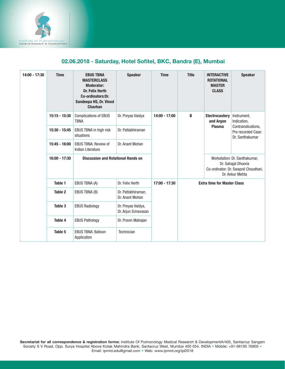

## 02.06.2018 - Saturday, Hotel Sofitel, BKC, Bandra (E), Mumbai

| $14:00 - 17:30$ | <b>Time</b>     | <b>EBUS TBNA</b><br><b>MASTERCLASS</b><br><b>Moderator:</b><br>Dr. Felix Herth<br>Co-ordinators:Dr.<br>Sandeepa HS, Dr. Vinod<br><b>Chavhan</b> | <b>Speaker</b>                             | <b>Time</b>     | <b>Title</b>                       | <b>INTERACTIVE</b><br><b>ROTATIONAL</b><br><b>MASTER</b><br><b>CLASS</b>                                        | <b>Speaker</b>                                                                            |
|-----------------|-----------------|-------------------------------------------------------------------------------------------------------------------------------------------------|--------------------------------------------|-----------------|------------------------------------|-----------------------------------------------------------------------------------------------------------------|-------------------------------------------------------------------------------------------|
|                 | $15:15 - 15:30$ | <b>Complications of EBUS</b><br><b>TBNA</b>                                                                                                     | Dr. Preyas Vaidya                          | $14:00 - 17:00$ | B                                  | <b>Electrocautery</b><br>and Argon<br><b>Plasma</b>                                                             | Instrument,<br>Indication.<br>Contraindications,<br>Pre recorded Case:<br>Dr. Santhakumar |
|                 | 15:30 - 15:45   | EBUS TBNA in high risk<br>situations                                                                                                            | Dr. Pattabhiraman                          |                 |                                    |                                                                                                                 |                                                                                           |
|                 | $15:45 - 16:00$ | <b>EBUS TBNA: Review of</b><br>Indian Literature                                                                                                | Dr. Anant Mohan                            |                 |                                    |                                                                                                                 |                                                                                           |
|                 | $16:00 - 17:30$ | <b>Discussion and Rotational Hands on</b>                                                                                                       |                                            |                 |                                    | Workstation: Dr. Santhakumar,<br>Dr. Sahajal Dhooria<br>Co-ordinator: Dr. Swapnil Choudhari,<br>Dr. Ankur Mehta |                                                                                           |
|                 | Table 1         | EBUS TBNA (A)                                                                                                                                   | Dr. Felix Herth                            | $17:00 - 17:30$ | <b>Extra time for Master Class</b> |                                                                                                                 |                                                                                           |
|                 | Table 2         | EBUS TBNA (B)                                                                                                                                   | Dr. Pattabhiraman,<br>Dr. Anant Mohan      |                 |                                    |                                                                                                                 |                                                                                           |
|                 | Table 3         | <b>EBUS Radiology</b>                                                                                                                           | Dr. Preyas Vaidya,<br>Dr. Arjun Srinavasan |                 |                                    |                                                                                                                 |                                                                                           |
|                 | Table 4         | <b>EBUS Pathology</b>                                                                                                                           | Dr. Pravin Mahajan                         |                 |                                    |                                                                                                                 |                                                                                           |
|                 | Table 5         | <b>EBUS TBNA: Balloon</b><br>Application                                                                                                        | Technician                                 |                 |                                    |                                                                                                                 |                                                                                           |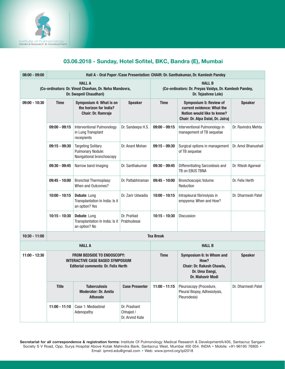

## 03.06.2018 - Sunday, Hotel Sofitel, BKC, Bandra (E), Mumbai

| $08:00 - 09:00$                                                                                  | Hall A - Oral Paper / Case Presentation: CHAIR: Dr. Santhakumar, Dr. Kamlesh Pandey                                        |                                                                                    |                                              |                                                                                                |                                                                                                                         |                     |  |  |  |
|--------------------------------------------------------------------------------------------------|----------------------------------------------------------------------------------------------------------------------------|------------------------------------------------------------------------------------|----------------------------------------------|------------------------------------------------------------------------------------------------|-------------------------------------------------------------------------------------------------------------------------|---------------------|--|--|--|
| <b>HALL A</b><br>(Co-ordinators: Dr. Vinod Chavhan, Dr. Neha Mandovra,<br>Dr. Swapnil Chaudhari) |                                                                                                                            |                                                                                    |                                              | <b>HALL B</b><br>(Co-ordinators: Dr. Preyas Vaidya, Dr. Kamlesh Pandey,<br>Dr. Tejashree Lele) |                                                                                                                         |                     |  |  |  |
| $09:00 - 10:30$                                                                                  | <b>Time</b>                                                                                                                | Symposium 4: What is on<br>the horizon for India?<br><b>Chair: Dr. Ramraje</b>     | <b>Speaker</b>                               | <b>Time</b>                                                                                    | Symposium 5: Review of<br>current evidence: What the<br>Nation would like to know?<br>Chair: Dr. Alpa Dalal, Dr. Jairaj | <b>Speaker</b>      |  |  |  |
|                                                                                                  | $09:00 - 09:15$                                                                                                            | Interventional Pulmonology<br>in Lung Transplant<br>receipients                    | Dr. Sandeepa H.S.                            | $09:00 - 09:15$                                                                                | Interventional Pulmonology in<br>management of TB sequelae                                                              | Dr. Ravindra Mehta  |  |  |  |
|                                                                                                  | $09:15 - 09:30$                                                                                                            | <b>Targeting Solitary</b><br><b>Pulmonary Nodule:</b><br>Navigational bronchoscopy | Dr. Anant Mohan                              | $09:15 - 09:30$<br>Surgical options in management<br>of TB sequelae                            |                                                                                                                         | Dr. Amol Bhanushali |  |  |  |
|                                                                                                  | $09:30 - 09:45$                                                                                                            | Narrow band Imaging                                                                | Dr. Santhakumar                              | $09:30 - 09:45$<br>Differentiating Sarcoidosis and<br>TB on EBUS TBNA                          |                                                                                                                         | Dr. Ritesh Agarwal  |  |  |  |
|                                                                                                  | $09:45 - 10:00$                                                                                                            | Bronchial Thermoplasy:<br>When and Outcomes?                                       | Dr. Pattabhiraman                            | $09:45 - 10:00$                                                                                | <b>Bronchoscopic Volume</b><br>Reduction                                                                                | Dr. Felix Herth     |  |  |  |
|                                                                                                  | $10:00 - 10:15$                                                                                                            | Debate: Lung<br>Transplantation In India: Is it<br>an option? Yes                  | Dr. Zarir Udwadia                            | $10:00 - 10:15$                                                                                | Intrapleural fibrinolysis in<br>empyema: When and How?                                                                  | Dr. Dharmesh Patel  |  |  |  |
|                                                                                                  | $10:15 - 10:30$                                                                                                            | Debate: Lung<br>Transplantation In India: Is it<br>an option? No                   | Dr. Prahlad<br>Prabhudesai                   | $10:15 - 10:30$                                                                                | <b>Discussion</b>                                                                                                       |                     |  |  |  |
| $10:30 - 11:00$                                                                                  |                                                                                                                            |                                                                                    |                                              | <b>Tea Break</b>                                                                               |                                                                                                                         |                     |  |  |  |
|                                                                                                  |                                                                                                                            | <b>HALL A</b>                                                                      |                                              | <b>HALL B</b>                                                                                  |                                                                                                                         |                     |  |  |  |
| $11:00 - 12:30$                                                                                  | <b>FROM BEDSIDE TO ENDOSCOPY:</b><br><b>INTERACTIVE CASE BASED SYMPOSIUM</b><br><b>Editorial comments: Dr. Felix Herth</b> |                                                                                    |                                              | <b>Time</b>                                                                                    | Symposium 6: In Whom and<br>How?<br>Chair: Dr. Rakesh Chawla,<br>Dr. Uma Dangi,<br>Dr. Mahavir Modi                     | <b>Speaker</b>      |  |  |  |
|                                                                                                  | <b>Title</b>                                                                                                               | <b>Tuberculosis</b><br><b>Moderator: Dr. Amita</b><br><b>Athavale</b>              | <b>Case Presenter</b>                        | $11:00 - 11:15$                                                                                | Pleuroscopy (Procedure,<br>Pleural Biopsy, Adhesiolysis,<br>Pleurodesis)                                                | Dr. Dharmesh Patel  |  |  |  |
|                                                                                                  | $11:00 - 11:10$                                                                                                            | Case 1: Mediastinal<br>Adenopathy                                                  | Dr. Prashant<br>Chhajed /<br>Dr. Arvind Kate |                                                                                                |                                                                                                                         |                     |  |  |  |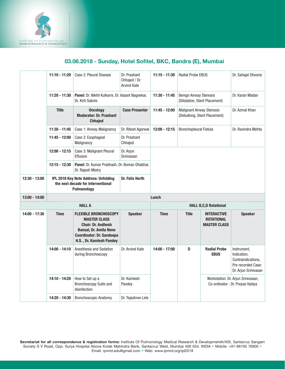

# 03.06.2018 - Sunday, Hotel Sofitel, BKC, Bandra (E), Mumbai

|                 | $11:10 - 11:20$ | Case 2: Pleural Disease                                                                                                                                                           | Dr. Prashant<br>Chhajed / Dr.<br>Arvind Kate | $11:15 - 11:30$ | <b>Radial Probe EBUS</b>                                         |                                                                | Dr. Sahajal Dhooria                                                                            |
|-----------------|-----------------|-----------------------------------------------------------------------------------------------------------------------------------------------------------------------------------|----------------------------------------------|-----------------|------------------------------------------------------------------|----------------------------------------------------------------|------------------------------------------------------------------------------------------------|
|                 | $11:20 - 11:30$ | Panel: Dr. Nikhil Kulkarni, Dr. Vasant Nagvekar,<br>Dr. Kirti Sabnis                                                                                                              |                                              | $11:30 - 11:45$ | <b>Benign Airway Stenosis</b>                                    | (Dilatation, Stent Placement)                                  | Dr. Karan Madan                                                                                |
|                 | <b>Title</b>    | <b>Oncology</b><br><b>Moderator: Dr. Prashant</b><br><b>Chhajed</b>                                                                                                               | <b>Case Presenter</b>                        | $11:45 - 12:00$ | <b>Malignant Airway Stenosis</b><br>(Debulking, Stent Placement) |                                                                | Dr. Azmal Khan                                                                                 |
|                 | $11:30 - 11:45$ | Case 1: Airway Malignancy                                                                                                                                                         | Dr. Ritesh Agarwal                           | $12:00 - 12:15$ | <b>Bronchopleural Fistula</b>                                    |                                                                | Dr. Ravindra Mehta                                                                             |
|                 | 11:45 - 12:00   | Case 2: Esophageal<br>Malignancy                                                                                                                                                  | Dr. Prashant<br>Chhajed                      |                 |                                                                  |                                                                |                                                                                                |
|                 | $12:00 - 12:15$ | Case 3: Malignant Pleural<br>Effusion                                                                                                                                             | Dr. Arjun<br>Srinivasan                      |                 |                                                                  |                                                                |                                                                                                |
|                 | $12:15 - 12:30$ | Panel: Dr. Kumar Prabhash, Dr. Boman Dhabhar,<br>Dr. Rajesh Mistry                                                                                                                |                                              |                 |                                                                  |                                                                |                                                                                                |
| $12:30 - 13:00$ |                 | IPL 2018 Key Note Address: Unfolding<br>the next decade for Interventional                                                                                                        | Dr. Felix Herth                              |                 |                                                                  |                                                                |                                                                                                |
|                 |                 | Pulmonology                                                                                                                                                                       |                                              |                 |                                                                  |                                                                |                                                                                                |
| $13:00 - 14:00$ |                 |                                                                                                                                                                                   |                                              | Lunch           |                                                                  |                                                                |                                                                                                |
|                 |                 | <b>HALL A</b>                                                                                                                                                                     |                                              |                 |                                                                  | <b>HALL B,C,D Rotational</b>                                   |                                                                                                |
| $14:00 - 17:30$ | <b>Time</b>     | <b>FLEXIBLE BRONCHOSCOPY</b><br><b>MASTER CLASS</b><br><b>Chair: Dr. Avdhesh</b><br><b>Bansal, Dr. Amita Nene</b><br><b>Coordinator: Dr. Sandeepa</b><br>H.S., Dr. Kamlesh Pandey | <b>Speaker</b>                               | <b>Time</b>     | <b>Title</b>                                                     | <b>INTERACTIVE</b><br><b>ROTATIONAL</b><br><b>MASTER CLASS</b> | <b>Speaker</b>                                                                                 |
|                 | $14:00 - 14:10$ | Anesthesia and Sedation<br>during Bronchoscopy                                                                                                                                    | Dr. Arvind Kate                              | 14:00 - 17:00   | D                                                                | <b>Radial Probe</b><br><b>EBUS</b>                             | Instrument,<br>Indication,<br>Contraindications,<br>Pre recorded Case:<br>Dr. Arjun Srinivasan |
|                 | 14:10 - 14:20   | How to Set up a<br>Bronchoscopy Suite and<br>disinfection                                                                                                                         | Dr. Kamlesh<br>Pandey                        |                 |                                                                  |                                                                | Workstation: Dr. Arjun Srinivasan,<br>Co-ordinator : Dr. Preyas Vaidya                         |